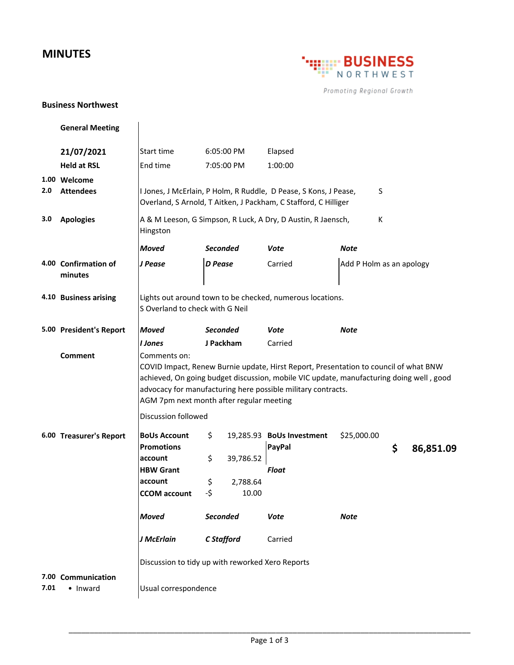## **MINUTES**



Promoting Regional Growth

## **Business Northwest**

|      | <b>General Meeting</b>          |                                                                                                                                                                                                                                                                                                             |                               |            |                                     |                          |    |           |  |
|------|---------------------------------|-------------------------------------------------------------------------------------------------------------------------------------------------------------------------------------------------------------------------------------------------------------------------------------------------------------|-------------------------------|------------|-------------------------------------|--------------------------|----|-----------|--|
|      | 21/07/2021                      | Start time                                                                                                                                                                                                                                                                                                  |                               | 6:05:00 PM | Elapsed                             |                          |    |           |  |
|      | <b>Held at RSL</b>              | End time                                                                                                                                                                                                                                                                                                    |                               | 7:05:00 PM | 1:00:00                             |                          |    |           |  |
|      | 1.00 Welcome                    |                                                                                                                                                                                                                                                                                                             |                               |            |                                     |                          |    |           |  |
| 2.0  | <b>Attendees</b>                | I Jones, J McErlain, P Holm, R Ruddle, D Pease, S Kons, J Pease,<br>S<br>Overland, S Arnold, T Aitken, J Packham, C Stafford, C Hilliger                                                                                                                                                                    |                               |            |                                     |                          |    |           |  |
| 3.0  | <b>Apologies</b>                | A & M Leeson, G Simpson, R Luck, A Dry, D Austin, R Jaensch,<br>К<br>Hingston                                                                                                                                                                                                                               |                               |            |                                     |                          |    |           |  |
|      |                                 | <b>Moved</b>                                                                                                                                                                                                                                                                                                | <b>Seconded</b>               |            | Vote                                | <b>Note</b>              |    |           |  |
|      | 4.00 Confirmation of<br>minutes | J Pease                                                                                                                                                                                                                                                                                                     | <b>D</b> Pease                |            | Carried                             | Add P Holm as an apology |    |           |  |
|      | 4.10 Business arising           | Lights out around town to be checked, numerous locations.<br>S Overland to check with G Neil                                                                                                                                                                                                                |                               |            |                                     |                          |    |           |  |
|      | 5.00 President's Report         | <b>Moved</b>                                                                                                                                                                                                                                                                                                | <b>Seconded</b>               |            | <b>Vote</b>                         | <b>Note</b>              |    |           |  |
|      |                                 | I Jones                                                                                                                                                                                                                                                                                                     | J Packham                     |            | Carried                             |                          |    |           |  |
|      | Comment                         | Comments on:<br>COVID Impact, Renew Burnie update, Hirst Report, Presentation to council of what BNW<br>achieved, On going budget discussion, mobile VIC update, manufacturing doing well, good<br>advocacy for manufacturing here possible military contracts.<br>AGM 7pm next month after regular meeting |                               |            |                                     |                          |    |           |  |
|      |                                 | Discussion followed                                                                                                                                                                                                                                                                                         |                               |            |                                     |                          |    |           |  |
|      | 6.00 Treasurer's Report         | <b>BoUs Account</b><br><b>Promotions</b>                                                                                                                                                                                                                                                                    | \$                            |            | 19,285.93 BoUs Investment<br>PayPal | \$25,000.00              | \$ | 86,851.09 |  |
|      |                                 | account                                                                                                                                                                                                                                                                                                     | \$                            | 39,786.52  |                                     |                          |    |           |  |
|      |                                 | <b>HBW Grant</b>                                                                                                                                                                                                                                                                                            |                               |            | <b>Float</b>                        |                          |    |           |  |
|      |                                 | account                                                                                                                                                                                                                                                                                                     | \$                            | 2,788.64   |                                     |                          |    |           |  |
|      |                                 | <b>CCOM</b> account                                                                                                                                                                                                                                                                                         | -\$                           | 10.00      |                                     |                          |    |           |  |
|      |                                 | <b>Moved</b>                                                                                                                                                                                                                                                                                                | <b>Seconded</b><br>C Stafford |            | Vote                                | <b>Note</b>              |    |           |  |
|      |                                 | J McErlain                                                                                                                                                                                                                                                                                                  |                               |            | Carried                             |                          |    |           |  |
|      |                                 | Discussion to tidy up with reworked Xero Reports                                                                                                                                                                                                                                                            |                               |            |                                     |                          |    |           |  |
| 7.01 | 7.00 Communication<br>• Inward  | Usual correspondence                                                                                                                                                                                                                                                                                        |                               |            |                                     |                          |    |           |  |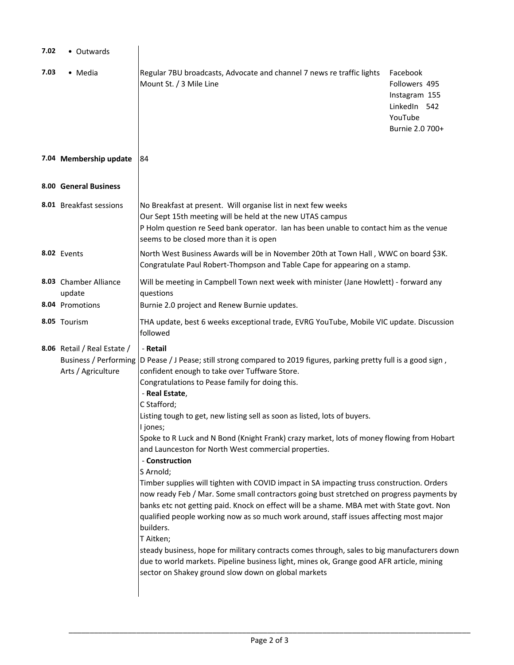| 7.02 | • Outwards                                                                        |                                                                                                                                                                                                                                                                                                                                                                                                                                                                                                                                                                                                                                                                                                                                                                                                                                                                                                                                                                                                                                                                                                                                                                                         |                                                                                          |  |  |  |
|------|-----------------------------------------------------------------------------------|-----------------------------------------------------------------------------------------------------------------------------------------------------------------------------------------------------------------------------------------------------------------------------------------------------------------------------------------------------------------------------------------------------------------------------------------------------------------------------------------------------------------------------------------------------------------------------------------------------------------------------------------------------------------------------------------------------------------------------------------------------------------------------------------------------------------------------------------------------------------------------------------------------------------------------------------------------------------------------------------------------------------------------------------------------------------------------------------------------------------------------------------------------------------------------------------|------------------------------------------------------------------------------------------|--|--|--|
| 7.03 | • Media                                                                           | Regular 7BU broadcasts, Advocate and channel 7 news re traffic lights<br>Mount St. / 3 Mile Line                                                                                                                                                                                                                                                                                                                                                                                                                                                                                                                                                                                                                                                                                                                                                                                                                                                                                                                                                                                                                                                                                        | Facebook<br>Followers 495<br>Instagram 155<br>LinkedIn 542<br>YouTube<br>Burnie 2.0 700+ |  |  |  |
|      | 7.04 Membership update                                                            | 184                                                                                                                                                                                                                                                                                                                                                                                                                                                                                                                                                                                                                                                                                                                                                                                                                                                                                                                                                                                                                                                                                                                                                                                     |                                                                                          |  |  |  |
|      | 8.00 General Business                                                             |                                                                                                                                                                                                                                                                                                                                                                                                                                                                                                                                                                                                                                                                                                                                                                                                                                                                                                                                                                                                                                                                                                                                                                                         |                                                                                          |  |  |  |
|      | 8.01 Breakfast sessions                                                           | No Breakfast at present. Will organise list in next few weeks<br>Our Sept 15th meeting will be held at the new UTAS campus<br>P Holm question re Seed bank operator. Ian has been unable to contact him as the venue<br>seems to be closed more than it is open                                                                                                                                                                                                                                                                                                                                                                                                                                                                                                                                                                                                                                                                                                                                                                                                                                                                                                                         |                                                                                          |  |  |  |
|      | 8.02 Events                                                                       | North West Business Awards will be in November 20th at Town Hall, WWC on board \$3K.<br>Congratulate Paul Robert-Thompson and Table Cape for appearing on a stamp.                                                                                                                                                                                                                                                                                                                                                                                                                                                                                                                                                                                                                                                                                                                                                                                                                                                                                                                                                                                                                      |                                                                                          |  |  |  |
|      | 8.03 Chamber Alliance<br>update<br>8.04 Promotions                                | Will be meeting in Campbell Town next week with minister (Jane Howlett) - forward any<br>questions<br>Burnie 2.0 project and Renew Burnie updates.                                                                                                                                                                                                                                                                                                                                                                                                                                                                                                                                                                                                                                                                                                                                                                                                                                                                                                                                                                                                                                      |                                                                                          |  |  |  |
|      | 8.05 Tourism                                                                      | THA update, best 6 weeks exceptional trade, EVRG YouTube, Mobile VIC update. Discussion<br>followed                                                                                                                                                                                                                                                                                                                                                                                                                                                                                                                                                                                                                                                                                                                                                                                                                                                                                                                                                                                                                                                                                     |                                                                                          |  |  |  |
|      | 8.06 Retail / Real Estate /<br><b>Business / Performing</b><br>Arts / Agriculture | - Retail<br>D Pease / J Pease; still strong compared to 2019 figures, parking pretty full is a good sign,<br>confident enough to take over Tuffware Store.<br>Congratulations to Pease family for doing this.<br>- Real Estate,<br>C Stafford;<br>Listing tough to get, new listing sell as soon as listed, lots of buyers.<br>I jones;<br>Spoke to R Luck and N Bond (Knight Frank) crazy market, lots of money flowing from Hobart<br>and Launceston for North West commercial properties.<br>- Construction<br>S Arnold;<br>Timber supplies will tighten with COVID impact in SA impacting truss construction. Orders<br>now ready Feb / Mar. Some small contractors going bust stretched on progress payments by<br>banks etc not getting paid. Knock on effect will be a shame. MBA met with State govt. Non<br>qualified people working now as so much work around, staff issues affecting most major<br>builders.<br>T Aitken;<br>steady business, hope for military contracts comes through, sales to big manufacturers down<br>due to world markets. Pipeline business light, mines ok, Grange good AFR article, mining<br>sector on Shakey ground slow down on global markets |                                                                                          |  |  |  |